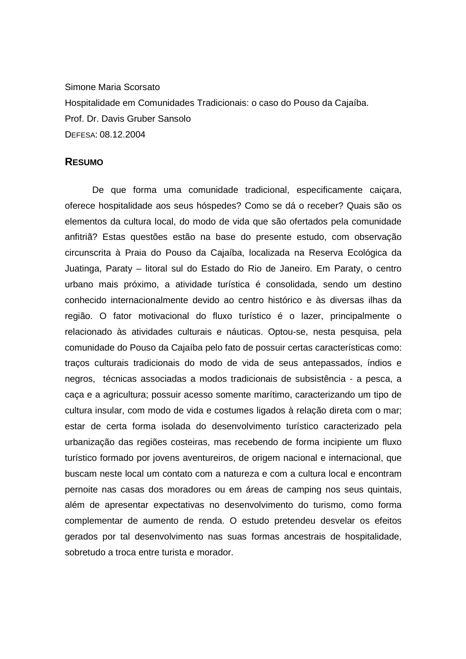Simone Maria Scorsato Hospitalidade em Comunidades Tradicionais: o caso do Pouso da Cajaíba. Prof. Dr. Davis Gruber Sansolo DEFESA: 08.12.2004

## **RESUMO**

De que forma uma comunidade tradicional, especificamente caiçara, oferece hospitalidade aos seus hóspedes? Como se dá o receber? Quais são os elementos da cultura local, do modo de vida que são ofertados pela comunidade anfitriã? Estas questões estão na base do presente estudo, com observação circunscrita à Praia do Pouso da Cajaíba, localizada na Reserva Ecológica da Juatinga, Paraty – litoral sul do Estado do Rio de Janeiro. Em Paraty, o centro urbano mais próximo, a atividade turística é consolidada, sendo um destino conhecido internacionalmente devido ao centro histórico e às diversas ilhas da região. O fator motivacional do fluxo turístico é o lazer, principalmente o relacionado às atividades culturais e náuticas. Optou-se, nesta pesquisa, pela comunidade do Pouso da Cajaíba pelo fato de possuir certas características como: traços culturais tradicionais do modo de vida de seus antepassados, índios e negros, técnicas associadas a modos tradicionais de subsistência - a pesca, a caça e a agricultura; possuir acesso somente marítimo, caracterizando um tipo de cultura insular, com modo de vida e costumes ligados à relação direta com o mar; estar de certa forma isolada do desenvolvimento turístico caracterizado pela urbanização das regiões costeiras, mas recebendo de forma incipiente um fluxo turístico formado por jovens aventureiros, de origem nacional e internacional, que buscam neste local um contato com a natureza e com a cultura local e encontram pernoite nas casas dos moradores ou em áreas de camping nos seus quintais, além de apresentar expectativas no desenvolvimento do turismo, como forma complementar de aumento de renda. O estudo pretendeu desvelar os efeitos gerados por tal desenvolvimento nas suas formas ancestrais de hospitalidade, sobretudo a troca entre turista e morador.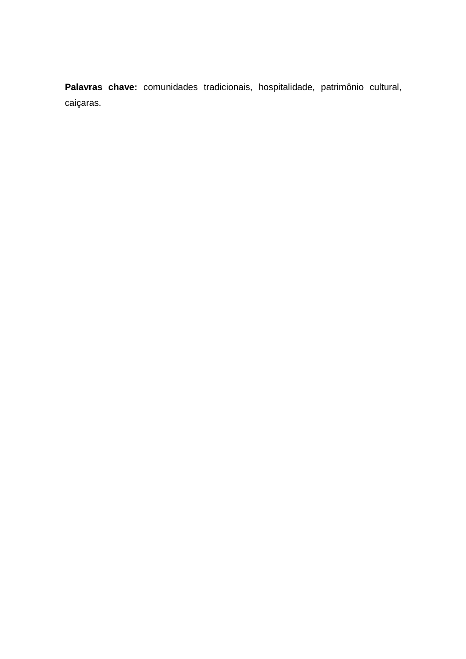**Palavras chave:** comunidades tradicionais, hospitalidade, patrimônio cultural, caiçaras.